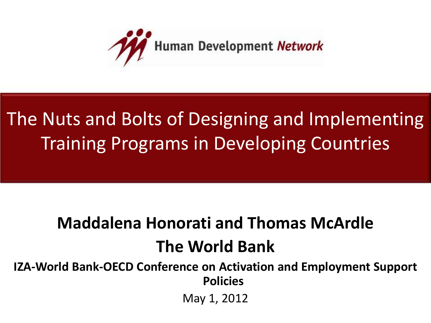

#### The Nuts and Bolts of Designing and Implementing Training Programs in Developing Countries

#### **Maddalena Honorati and Thomas McArdle The World Bank**

**IZA-World Bank-OECD Conference on Activation and Employment Support Policies**

May 1, 2012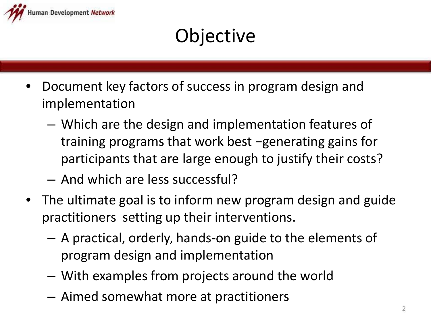

#### **Objective**

- Document key factors of success in program design and implementation
	- Which are the design and implementation features of training programs that work best −generating gains for participants that are large enough to justify their costs?
	- And which are less successful?
- The ultimate goal is to inform new program design and guide practitioners setting up their interventions.
	- A practical, orderly, hands-on guide to the elements of program design and implementation
	- With examples from projects around the world
	- Aimed somewhat more at practitioners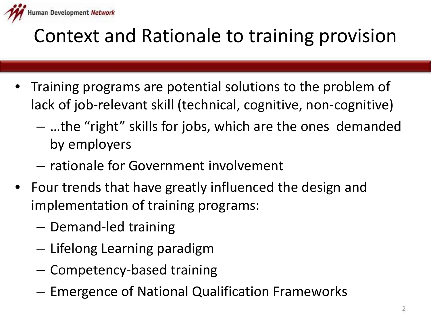

#### Context and Rationale to training provision

- Training programs are potential solutions to the problem of lack of job-relevant skill (technical, cognitive, non-cognitive)
	- …the "right" skills for jobs, which are the ones demanded by employers
	- rationale for Government involvement
- Four trends that have greatly influenced the design and implementation of training programs:
	- Demand-led training
	- Lifelong Learning paradigm
	- Competency-based training
	- Emergence of National Qualification Frameworks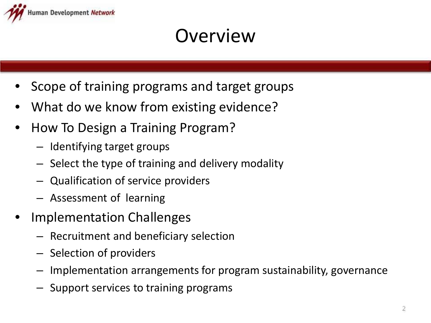

#### **Overview**

- Scope of training programs and target groups
- What do we know from existing evidence?
- How To Design a Training Program?
	- Identifying target groups
	- Select the type of training and delivery modality
	- Qualification of service providers
	- Assessment of learning
- Implementation Challenges
	- Recruitment and beneficiary selection
	- Selection of providers
	- Implementation arrangements for program sustainability, governance
	- Support services to training programs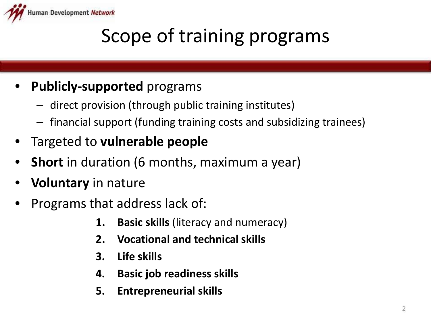

#### Scope of training programs

#### • **Publicly-supported** programs

- direct provision (through public training institutes)
- financial support (funding training costs and subsidizing trainees)
- Targeted to **vulnerable people**
- **Short** in duration (6 months, maximum a year)
- **Voluntary** in nature
- Programs that address lack of:
	- **1. Basic skills** (literacy and numeracy)
	- **2. Vocational and technical skills**
	- **3. Life skills**
	- **4. Basic job readiness skills**
	- **5. Entrepreneurial skills**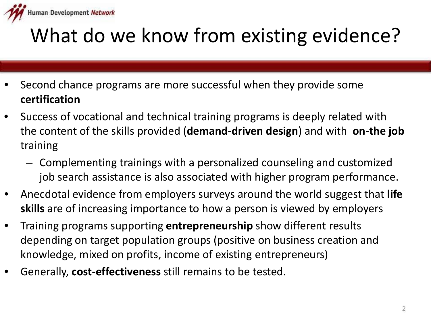

## What do we know from existing evidence?

- Second chance programs are more successful when they provide some **certification**
- Success of vocational and technical training programs is deeply related with the content of the skills provided (**demand-driven design**) and with **on-the job** training
	- Complementing trainings with a personalized counseling and customized job search assistance is also associated with higher program performance.
- Anecdotal evidence from employers surveys around the world suggest that **life skills** are of increasing importance to how a person is viewed by employers
- Training programs supporting **entrepreneurship** show different results depending on target population groups (positive on business creation and knowledge, mixed on profits, income of existing entrepreneurs)
- Generally, **cost-effectiveness** still remains to be tested.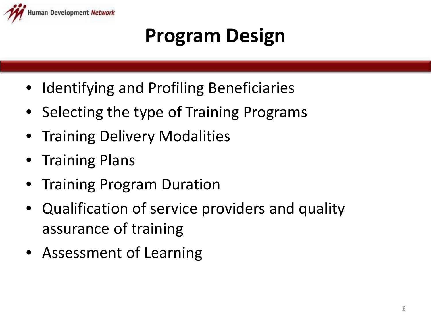

#### **Program Design**

- Identifying and Profiling Beneficiaries
- Selecting the type of Training Programs
- **Training Delivery Modalities**
- Training Plans
- Training Program Duration
- Qualification of service providers and quality assurance of training
- Assessment of Learning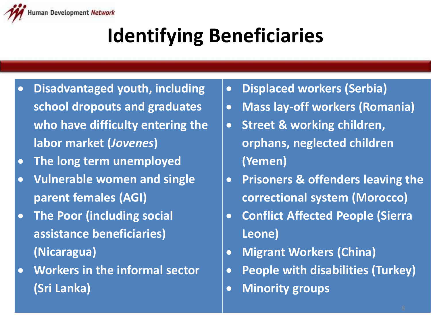

## **Identifying Beneficiaries**

- **Disadvantaged youth, including school dropouts and graduates who have difficulty entering the labor market (***Jovenes***)**
- **The long term unemployed**
- **Vulnerable women and single parent females (AGI)**
- **The Poor (including social assistance beneficiaries) (Nicaragua)**
- **Workers in the informal sector (Sri Lanka)**
- **Displaced workers (Serbia)**
- **Mass lay-off workers (Romania)**
- **Street & working children, orphans, neglected children (Yemen)**
- **Prisoners & offenders leaving the correctional system (Morocco)**
- **Conflict Affected People (Sierra Leone)**
- **Migrant Workers (China)**
- **People with disabilities (Turkey)**
- **Minority groups**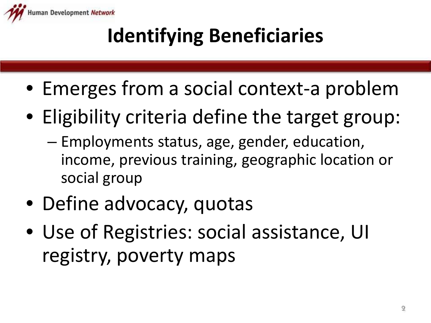

## **Identifying Beneficiaries**

- Emerges from a social context-a problem
- Eligibility criteria define the target group:
	- Employments status, age, gender, education, income, previous training, geographic location or social group
- Define advocacy, quotas
- Use of Registries: social assistance, UI registry, poverty maps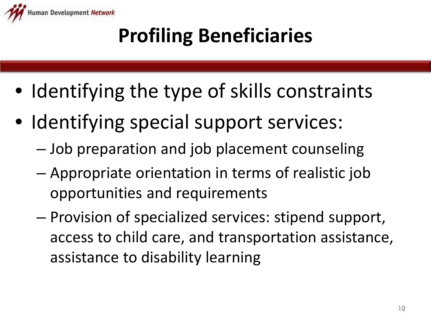

## **Profiling Beneficiaries**

- Identifying the type of skills constraints
- Identifying special support services:
	- Job preparation and job placement counseling
	- Appropriate orientation in terms of realistic job opportunities and requirements
	- Provision of specialized services: stipend support, access to child care, and transportation assistance, assistance to disability learning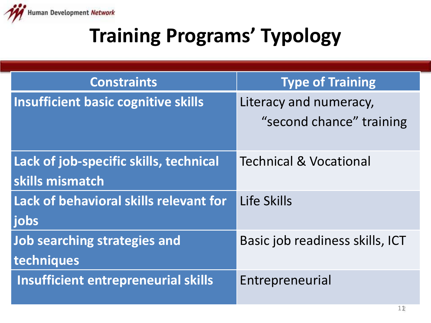

## **Training Programs' Typology**

| <b>Constraints</b>                         | <b>Type of Training</b>           |
|--------------------------------------------|-----------------------------------|
| <b>Insufficient basic cognitive skills</b> | Literacy and numeracy,            |
|                                            | "second chance" training          |
| Lack of job-specific skills, technical     | <b>Technical &amp; Vocational</b> |
| skills mismatch                            |                                   |
| Lack of behavioral skills relevant for     | Life Skills                       |
| jobs                                       |                                   |
| <b>Job searching strategies and</b>        | Basic job readiness skills, ICT   |
| techniques                                 |                                   |
| <b>Insufficient entrepreneurial skills</b> | Entrepreneurial                   |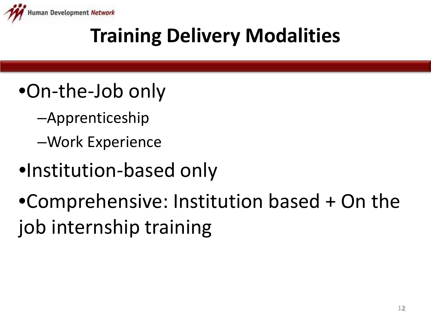

#### **Training Delivery Modalities**

- •On-the-Job only
	- –Apprenticeship
	- –Work Experience
- •Institution-based only

•Comprehensive: Institution based + On the job internship training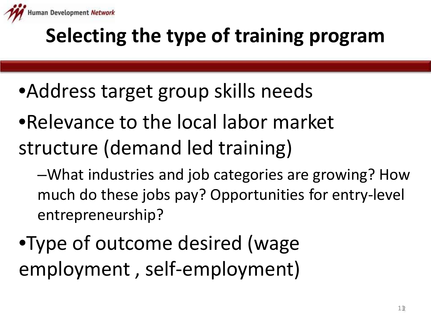

## **Selecting the type of training program**

- •Address target group skills needs
- •Relevance to the local labor market structure (demand led training)
	- –What industries and job categories are growing? How much do these jobs pay? Opportunities for entry-level entrepreneurship?
- •Type of outcome desired (wage employment , self-employment)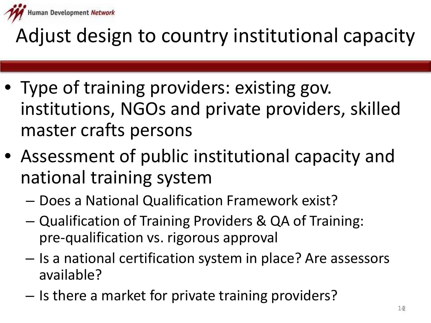

### Adjust design to country institutional capacity

- Type of training providers: existing gov. institutions, NGOs and private providers, skilled master crafts persons
- Assessment of public institutional capacity and national training system
	- Does a National Qualification Framework exist?
	- Qualification of Training Providers & QA of Training: pre-qualification vs. rigorous approval
	- Is a national certification system in place? Are assessors available?
	- Is there a market for private training providers?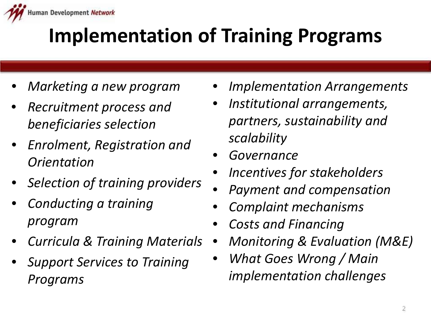

- *Marketing a new program*
- *Recruitment process and beneficiaries selection*
- *Enrolment, Registration and Orientation*
- *Selection of training providers*
- *Conducting a training program*
- *Curricula & Training Materials*
- *Support Services to Training Programs*
- *Implementation Arrangements*
- *Institutional arrangements, partners, sustainability and scalability*
- *Governance*
- *Incentives for stakeholders*
- *Payment and compensation*
- *Complaint mechanisms*
- *Costs and Financing*
- *Monitoring & Evaluation (M&E)*
- *What Goes Wrong / Main implementation challenges*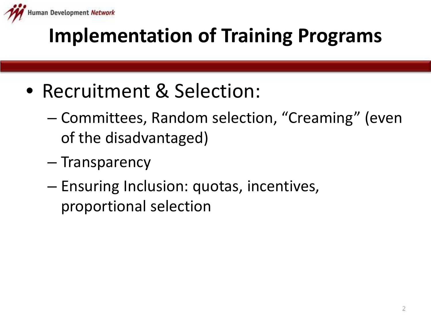

- Recruitment & Selection:
	- Committees, Random selection, "Creaming" (even of the disadvantaged)
	- Transparency
	- Ensuring Inclusion: quotas, incentives, proportional selection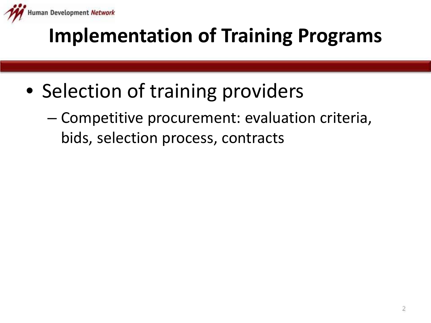

- Selection of training providers
	- Competitive procurement: evaluation criteria, bids, selection process, contracts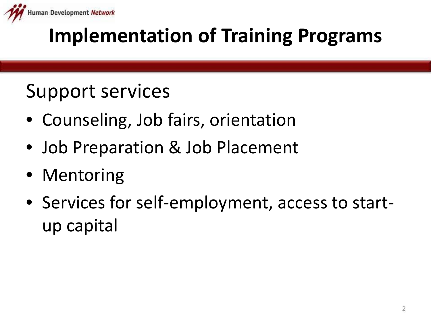

#### Support services

- Counseling, Job fairs, orientation
- Job Preparation & Job Placement
- Mentoring
- Services for self-employment, access to startup capital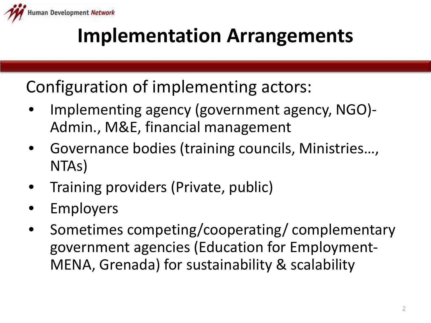

#### **Implementation Arrangements**

Configuration of implementing actors:

- Implementing agency (government agency, NGO)- Admin., M&E, financial management
- Governance bodies (training councils, Ministries…, NTAs)
- Training providers (Private, public)
- **Employers**
- Sometimes competing/cooperating/ complementary government agencies (Education for Employment-MENA, Grenada) for sustainability & scalability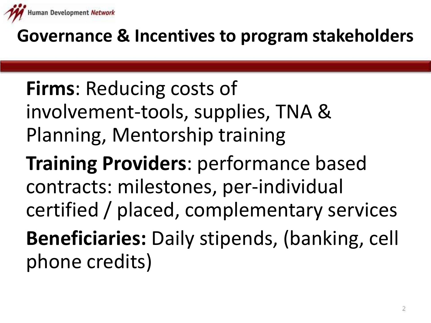

#### **Governance & Incentives to program stakeholders**

#### **Firms**: Reducing costs of involvement-tools, supplies, TNA & Planning, Mentorship training

**Training Providers**: performance based contracts: milestones, per-individual certified / placed, complementary services **Beneficiaries:** Daily stipends, (banking, cell phone credits)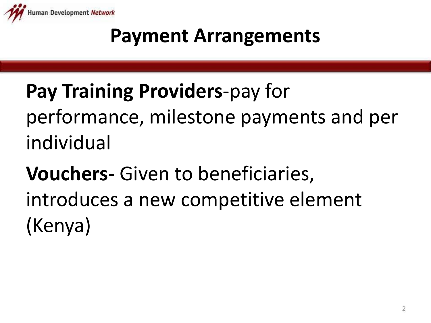

#### **Payment Arrangements**

## **Pay Training Providers**-pay for performance, milestone payments and per individual

**Vouchers**- Given to beneficiaries, introduces a new competitive element (Kenya)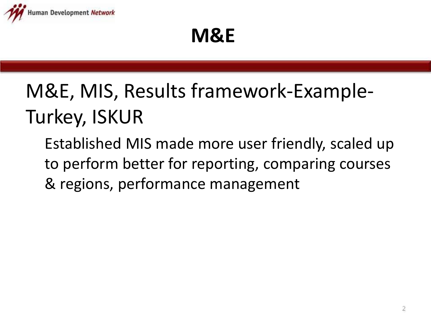

#### **M&E**

## M&E, MIS, Results framework-Example-Turkey, ISKUR

Established MIS made more user friendly, scaled up to perform better for reporting, comparing courses & regions, performance management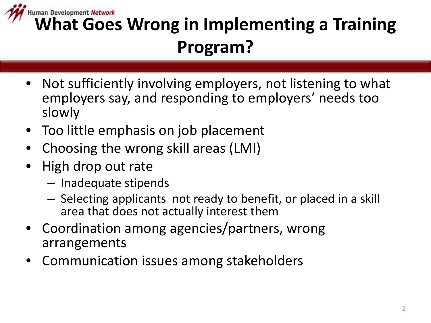

# **Human Development Network**<br> **What Goes Wrong in Implementing a Training Program?**

- Not sufficiently involving employers, not listening to what employers say, and responding to employers' needs too slowly
- Too little emphasis on job placement
- Choosing the wrong skill areas (LMI)
- High drop out rate
	- Inadequate stipends
	- Selecting applicants not ready to benefit, or placed in a skill area that does not actually interest them
- Coordination among agencies/partners, wrong arrangements
- Communication issues among stakeholders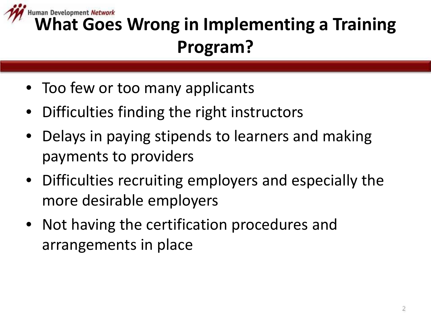

# **Human Development Network**<br> **What Goes Wrong in Implementing a Training Program?**

- Too few or too many applicants
- Difficulties finding the right instructors
- Delays in paying stipends to learners and making payments to providers
- Difficulties recruiting employers and especially the more desirable employers
- Not having the certification procedures and arrangements in place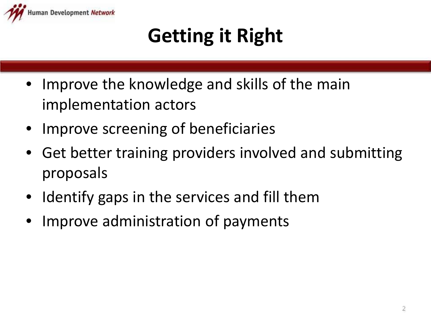

## **Getting it Right**

- Improve the knowledge and skills of the main implementation actors
- Improve screening of beneficiaries
- Get better training providers involved and submitting proposals
- Identify gaps in the services and fill them
- Improve administration of payments